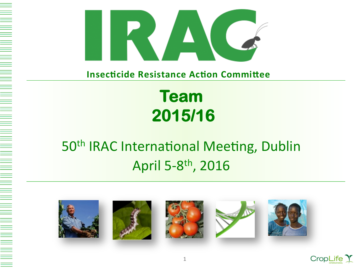

**Insecticide Resistance Action Committee** 

# **Team** 2015/16

## 50<sup>th</sup> IRAC International Meeting, Dublin April 5-8th, 2016











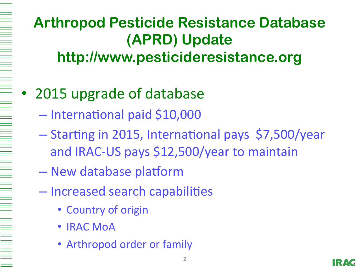## **Arthropod Pesticide Resistance Database (APRD) Update http://www.pesticideresistance.org**

- 2015 upgrade of database
	- International paid \$10,000
	- $-$  Starting in 2015, International pays \$7,500/year and IRAC-US pays \$12,500/year to maintain
	- New database platform
	- Increased search capabilities
		- Country of origin
		- **IRAC MoA**
		- Arthropod order or family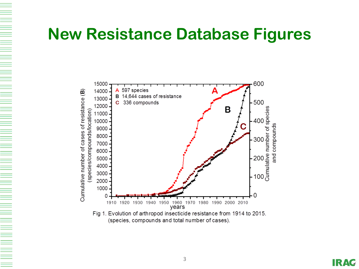### **New Resistance Database Figures**

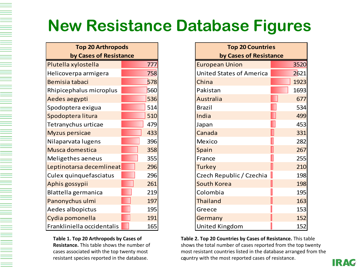# **New Resistance Database Figures**

| <b>Top 20 Arthropods</b><br>by Cases of Resistance |     |
|----------------------------------------------------|-----|
|                                                    |     |
| Helicoverpa armigera                               | 758 |
| Bemisia tabaci                                     | 578 |
| Rhipicephalus microplus                            | 560 |
| Aedes aegypti                                      | 536 |
| Spodoptera exigua                                  | 514 |
| Spodoptera litura                                  | 510 |
| Tetranychus urticae                                | 479 |
| <b>Myzus persicae</b>                              | 433 |
| Nilaparvata lugens                                 | 396 |
| Musca domestica                                    | 358 |
| Meligethes aeneus                                  | 355 |
| Leptinotarsa decemlineat                           | 296 |
| Culex quinquefasciatus                             | 296 |
| Aphis gossypii                                     | 261 |
| Blattella germanica                                | 219 |
| Panonychus ulmi                                    | 197 |
| Aedes albopictus                                   | 195 |
| Cydia pomonella                                    | 191 |
| Frankliniella occidentalis                         | 165 |

### Table 1. Top 20 Arthropods by Cases of

**Resistance.** This table shows the number of cases associated with the top twenty most resistant species reported in the database.

| <b>Top 20 Countries</b>         |  |      |  |  |
|---------------------------------|--|------|--|--|
| by Cases of Resistance          |  |      |  |  |
| <b>European Union</b>           |  | 3520 |  |  |
| <b>United States of America</b> |  | 2621 |  |  |
| China                           |  | 1923 |  |  |
| Pakistan                        |  | 1693 |  |  |
| Australia                       |  | 677  |  |  |
| <b>Brazil</b>                   |  | 534  |  |  |
| India                           |  | 499  |  |  |
| Japan                           |  | 453  |  |  |
| Canada                          |  | 331  |  |  |
| Mexico                          |  | 282  |  |  |
| Spain                           |  | 267  |  |  |
| France                          |  | 255  |  |  |
| <b>Turkey</b>                   |  | 210  |  |  |
| Czech Republic / Czechia        |  | 198  |  |  |
| <b>South Korea</b>              |  | 198  |  |  |
| Colombia                        |  | 195  |  |  |
| <b>Thailand</b>                 |  | 163  |  |  |
| Greece                          |  | 153  |  |  |
| Germany                         |  | 152  |  |  |
| United Kingdom                  |  | 152  |  |  |

country with the most reported cases of resistance. **Table 2. Top 20 Countries by Cases of Resistance.** This table shows the total number of cases reported from the top twenty most resistant countries listed in the database arranged from the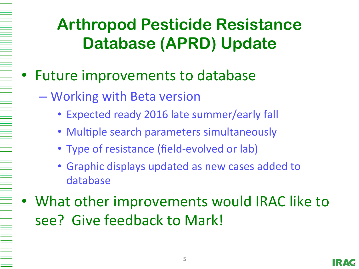# **Arthropod Pesticide Resistance Database (APRD) Update**

- Future improvements to database
	- Working with Beta version
		- Expected ready 2016 late summer/early fall
		- Multiple search parameters simultaneously
		- Type of resistance (field-evolved or lab)
		- Graphic displays updated as new cases added to database
- What other improvements would IRAC like to see? Give feedback to Mark!